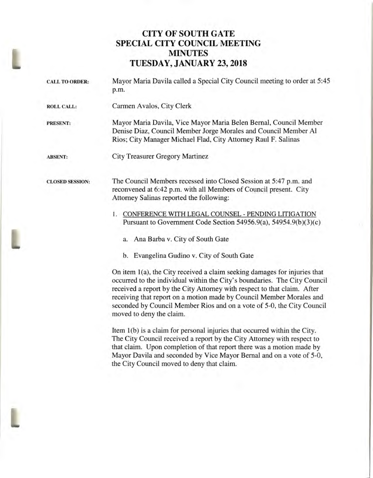## **CITY OF SOUTH GATE SPECIAL CITY COUNCIL MEETING MINUTES TUESDAY, JANUARY 23, 2018**

| <b>CALL TO ORDER:</b>  | Mayor Maria Davila called a Special City Council meeting to order at 5:45<br>p.m.                                                                                                                                                                                                                                                                                                                                |
|------------------------|------------------------------------------------------------------------------------------------------------------------------------------------------------------------------------------------------------------------------------------------------------------------------------------------------------------------------------------------------------------------------------------------------------------|
| <b>ROLL CALL:</b>      | Carmen Avalos, City Clerk                                                                                                                                                                                                                                                                                                                                                                                        |
| <b>PRESENT:</b>        | Mayor Maria Davila, Vice Mayor Maria Belen Bernal, Council Member<br>Denise Diaz, Council Member Jorge Morales and Council Member Al<br>Rios; City Manager Michael Flad, City Attorney Raul F. Salinas                                                                                                                                                                                                           |
| <b>ABSENT:</b>         | <b>City Treasurer Gregory Martinez</b>                                                                                                                                                                                                                                                                                                                                                                           |
| <b>CLOSED SESSION:</b> | The Council Members recessed into Closed Session at 5:47 p.m. and<br>reconvened at 6:42 p.m. with all Members of Council present. City<br>Attorney Salinas reported the following:                                                                                                                                                                                                                               |
|                        | 1. CONFERENCE WITH LEGAL COUNSEL - PENDING LITIGATION<br>Pursuant to Government Code Section 54956.9(a), 54954.9(b)(3)(c)<br>a. Ana Barba v. City of South Gate<br>b. Evangelina Gudino v. City of South Gate                                                                                                                                                                                                    |
|                        | On item 1(a), the City received a claim seeking damages for injuries that<br>occurred to the individual within the City's boundaries. The City Council<br>received a report by the City Attorney with respect to that claim. After<br>receiving that report on a motion made by Council Member Morales and<br>seconded by Council Member Rios and on a vote of 5-0, the City Council<br>moved to deny the claim. |

Item 1(b) is a claim for personal injuries that occurred within the City. The City Council received a report by the City Attorney with respect to that claim. Upon completion of that report there was a motion made by Mayor Davila and seconded by Vice Mayor Bernal and on a vote of 5-0, the City Council moved to deny that claim.